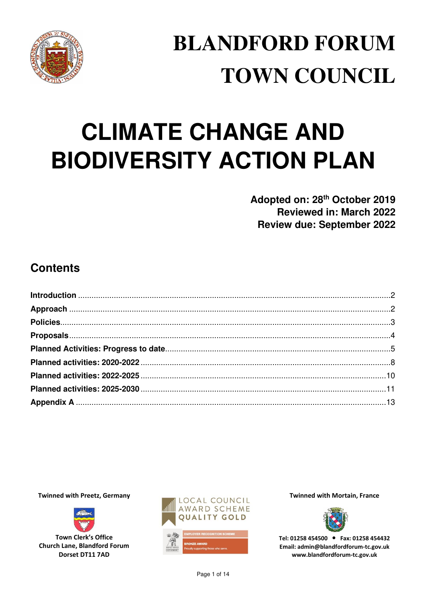

# **BLANDFORD FORUM TOWN COUNCIL**

# **CLIMATE CHANGE AND BIODIVERSITY ACTION PLAN**

Adopted on: 28<sup>th</sup> October 2019 **Reviewed in: March 2022 Review due: September 2022** 

# **Contents**

**Twinned with Preetz, Germany** 



**Town Clerk's Office Church Lane, Blandford Forum** Dorset DT11 7AD



**Twinned with Mortain, France** 



Tel: 01258 454500 • Fax: 01258 454432 Email: admin@blandfordforum-tc.gov.uk www.blandfordforum-tc.gov.uk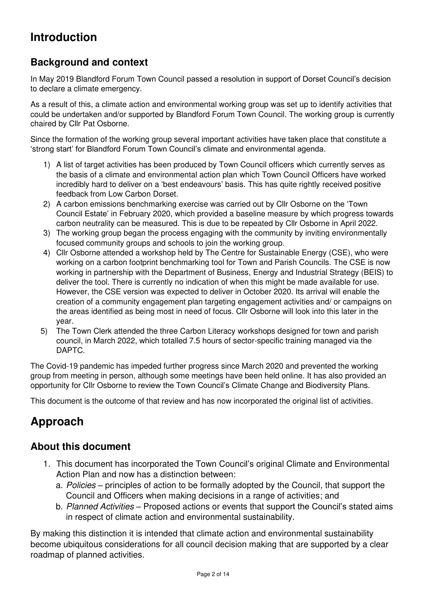# <span id="page-1-0"></span>**Introduction**

# **Background and context**

In May 2019 Blandford Forum Town Council passed a resolution in support of Dorset Council's decision to declare a climate emergency.

As a result of this, a climate action and environmental working group was set up to identify activities that could be undertaken and/or supported by Blandford Forum Town Council. The working group is currently chaired by Cllr Pat Osborne.

Since the formation of the working group several important activities have taken place that constitute a 'strong start' for Blandford Forum Town Council's climate and environmental agenda.

- 1) A list of target activities has been produced by Town Council officers which currently serves as the basis of a climate and environmental action plan which Town Council Officers have worked incredibly hard to deliver on a 'best endeavours' basis. This has quite rightly received positive feedback from Low Carbon Dorset.
- 2) A carbon emissions benchmarking exercise was carried out by Cllr Osborne on the 'Town Council Estate' in February 2020, which provided a baseline measure by which progress towards carbon neutrality can be measured. This is due to be repeated by Cllr Osborne in April 2022.
- 3) The working group began the process engaging with the community by inviting environmentally focused community groups and schools to join the working group.
- 4) Cllr Osborne attended a workshop held by The Centre for Sustainable Energy (CSE), who were working on a carbon footprint benchmarking tool for Town and Parish Councils. The CSE is now working in partnership with the Department of Business, Energy and Industrial Strategy (BEIS) to deliver the tool. There is currently no indication of when this might be made available for use. However, the CSE version was expected to deliver in October 2020. Its arrival will enable the creation of a community engagement plan targeting engagement activities and/ or campaigns on the areas identified as being most in need of focus. Cllr Osborne will look into this later in the year.
- 5) The Town Clerk attended the three Carbon Literacy workshops designed for town and parish council, in March 2022, which totalled 7.5 hours of sector-specific training managed via the DAPTC.

The Covid-19 pandemic has impeded further progress since March 2020 and prevented the working group from meeting in person, although some meetings have been held online. It has also provided an opportunity for Cllr Osborne to review the Town Council's Climate Change and Biodiversity Plans.

This document is the outcome of that review and has now incorporated the original list of activities.

# <span id="page-1-1"></span>**Approach**

# **About this document**

- 1. This document has incorporated the Town Council's original Climate and Environmental Action Plan and now has a distinction between:
	- a. Policies principles of action to be formally adopted by the Council, that support the Council and Officers when making decisions in a range of activities; and
	- b. Planned Activities Proposed actions or events that support the Council's stated aims in respect of climate action and environmental sustainability.

By making this distinction it is intended that climate action and environmental sustainability become ubiquitous considerations for all council decision making that are supported by a clear roadmap of planned activities.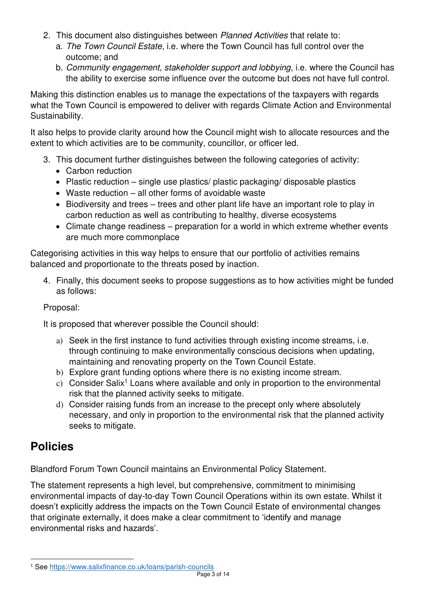- 2. This document also distinguishes between Planned Activities that relate to:
	- a. The Town Council Estate, i.e. where the Town Council has full control over the outcome; and
	- b. Community engagement, stakeholder support and lobbying, i.e. where the Council has the ability to exercise some influence over the outcome but does not have full control.

Making this distinction enables us to manage the expectations of the taxpayers with regards what the Town Council is empowered to deliver with regards Climate Action and Environmental Sustainability.

It also helps to provide clarity around how the Council might wish to allocate resources and the extent to which activities are to be community, councillor, or officer led.

- 3. This document further distinguishes between the following categories of activity:
	- Carbon reduction
	- Plastic reduction single use plastics/ plastic packaging/ disposable plastics
	- Waste reduction all other forms of avoidable waste
	- Biodiversity and trees trees and other plant life have an important role to play in carbon reduction as well as contributing to healthy, diverse ecosystems
	- Climate change readiness preparation for a world in which extreme whether events are much more commonplace

Categorising activities in this way helps to ensure that our portfolio of activities remains balanced and proportionate to the threats posed by inaction.

4. Finally, this document seeks to propose suggestions as to how activities might be funded as follows:

# Proposal:

It is proposed that wherever possible the Council should:

- a) Seek in the first instance to fund activities through existing income streams, i.e. through continuing to make environmentally conscious decisions when updating, maintaining and renovating property on the Town Council Estate.
- b) Explore grant funding options where there is no existing income stream.
- c) Consider Salix<sup>1</sup> Loans where available and only in proportion to the environmental risk that the planned activity seeks to mitigate.
- d) Consider raising funds from an increase to the precept only where absolutely necessary, and only in proportion to the environmental risk that the planned activity seeks to mitigate.

# <span id="page-2-0"></span>**Policies**

Blandford Forum Town Council maintains an Environmental Policy Statement.

The statement represents a high level, but comprehensive, commitment to minimising environmental impacts of day-to-day Town Council Operations within its own estate. Whilst it doesn't explicitly address the impacts on the Town Council Estate of environmental changes that originate externally, it does make a clear commitment to 'identify and manage environmental risks and hazards'.

<sup>1</sup> See<https://www.salixfinance.co.uk/loans/parish-councils>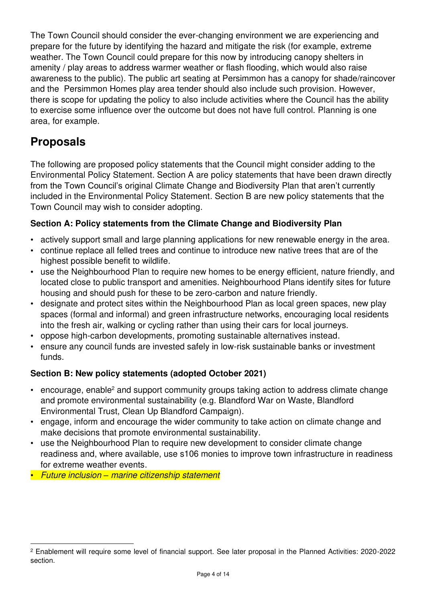The Town Council should consider the ever-changing environment we are experiencing and prepare for the future by identifying the hazard and mitigate the risk (for example, extreme weather. The Town Council could prepare for this now by introducing canopy shelters in amenity / play areas to address warmer weather or flash flooding, which would also raise awareness to the public). The public art seating at Persimmon has a canopy for shade/raincover and the Persimmon Homes play area tender should also include such provision. However, there is scope for updating the policy to also include activities where the Council has the ability to exercise some influence over the outcome but does not have full control. Planning is one area, for example.

# <span id="page-3-0"></span>**Proposals**

The following are proposed policy statements that the Council might consider adding to the Environmental Policy Statement. Section A are policy statements that have been drawn directly from the Town Council's original Climate Change and Biodiversity Plan that aren't currently included in the Environmental Policy Statement. Section B are new policy statements that the Town Council may wish to consider adopting.

# **Section A: Policy statements from the Climate Change and Biodiversity Plan**

- actively support small and large planning applications for new renewable energy in the area.
- continue replace all felled trees and continue to introduce new native trees that are of the highest possible benefit to wildlife.
- use the Neighbourhood Plan to require new homes to be energy efficient, nature friendly, and located close to public transport and amenities. Neighbourhood Plans identify sites for future housing and should push for these to be zero-carbon and nature friendly.
- designate and protect sites within the Neighbourhood Plan as local green spaces, new play spaces (formal and informal) and green infrastructure networks, encouraging local residents into the fresh air, walking or cycling rather than using their cars for local journeys.
- oppose high-carbon developments, promoting sustainable alternatives instead.
- ensure any council funds are invested safely in low-risk sustainable banks or investment funds.

# **Section B: New policy statements (adopted October 2021)**

- encourage, enable<sup>2</sup> and support community groups taking action to address climate change and promote environmental sustainability (e.g. Blandford War on Waste, Blandford Environmental Trust, Clean Up Blandford Campaign).
- engage, inform and encourage the wider community to take action on climate change and make decisions that promote environmental sustainability.
- use the Neighbourhood Plan to require new development to consider climate change readiness and, where available, use s106 monies to improve town infrastructure in readiness for extreme weather events.
- Future inclusion *–* marine citizenship statement

<sup>2</sup> Enablement will require some level of financial support. See later proposal in the Planned Activities: 2020-2022 section.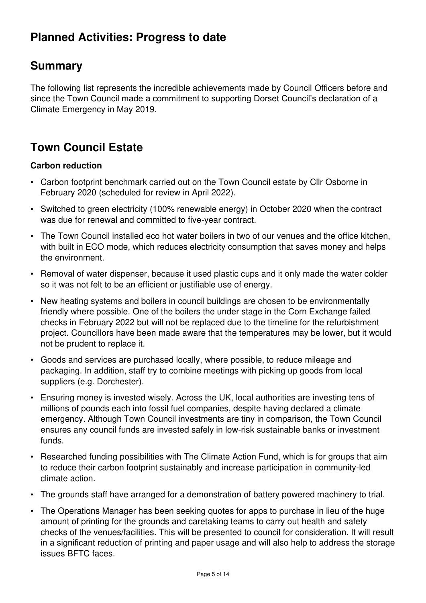# <span id="page-4-0"></span>**Planned Activities: Progress to date**

# **Summary**

The following list represents the incredible achievements made by Council Officers before and since the Town Council made a commitment to supporting Dorset Council's declaration of a Climate Emergency in May 2019.

# **Town Council Estate**

# **Carbon reduction**

- Carbon footprint benchmark carried out on the Town Council estate by Cllr Osborne in February 2020 (scheduled for review in April 2022).
- Switched to green electricity (100% renewable energy) in October 2020 when the contract was due for renewal and committed to five-year contract.
- The Town Council installed eco hot water boilers in two of our venues and the office kitchen, with built in ECO mode, which reduces electricity consumption that saves money and helps the environment.
- Removal of water dispenser, because it used plastic cups and it only made the water colder so it was not felt to be an efficient or justifiable use of energy.
- New heating systems and boilers in council buildings are chosen to be environmentally friendly where possible. One of the boilers the under stage in the Corn Exchange failed checks in February 2022 but will not be replaced due to the timeline for the refurbishment project. Councillors have been made aware that the temperatures may be lower, but it would not be prudent to replace it.
- Goods and services are purchased locally, where possible, to reduce mileage and packaging. In addition, staff try to combine meetings with picking up goods from local suppliers (e.g. Dorchester).
- Ensuring money is invested wisely. Across the UK, local authorities are investing tens of millions of pounds each into fossil fuel companies, despite having declared a climate emergency. Although Town Council investments are tiny in comparison, the Town Council ensures any council funds are invested safely in low-risk sustainable banks or investment funds.
- Researched funding possibilities with The Climate Action Fund, which is for groups that aim to reduce their carbon footprint sustainably and increase participation in community-led climate action.
- The grounds staff have arranged for a demonstration of battery powered machinery to trial.
- The Operations Manager has been seeking quotes for apps to purchase in lieu of the huge amount of printing for the grounds and caretaking teams to carry out health and safety checks of the venues/facilities. This will be presented to council for consideration. It will result in a significant reduction of printing and paper usage and will also help to address the storage issues BFTC faces.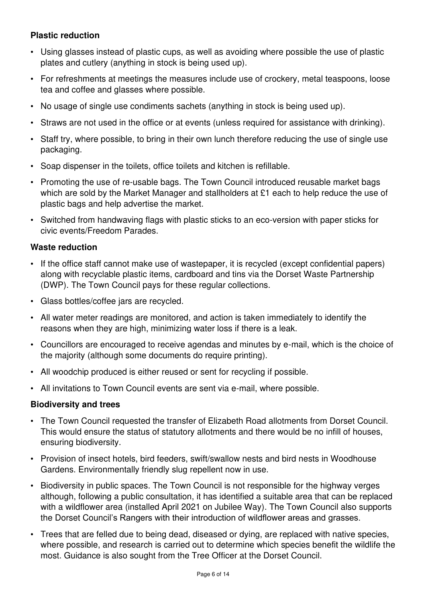# **Plastic reduction**

- Using glasses instead of plastic cups, as well as avoiding where possible the use of plastic plates and cutlery (anything in stock is being used up).
- For refreshments at meetings the measures include use of crockery, metal teaspoons, loose tea and coffee and glasses where possible.
- No usage of single use condiments sachets (anything in stock is being used up).
- Straws are not used in the office or at events (unless required for assistance with drinking).
- Staff try, where possible, to bring in their own lunch therefore reducing the use of single use packaging.
- Soap dispenser in the toilets, office toilets and kitchen is refillable.
- Promoting the use of re-usable bags. The Town Council introduced reusable market bags which are sold by the Market Manager and stallholders at £1 each to help reduce the use of plastic bags and help advertise the market.
- Switched from handwaving flags with plastic sticks to an eco-version with paper sticks for civic events/Freedom Parades.

## **Waste reduction**

- If the office staff cannot make use of wastepaper, it is recycled (except confidential papers) along with recyclable plastic items, cardboard and tins via the Dorset Waste Partnership (DWP). The Town Council pays for these regular collections.
- Glass bottles/coffee jars are recycled.
- All water meter readings are monitored, and action is taken immediately to identify the reasons when they are high, minimizing water loss if there is a leak.
- Councillors are encouraged to receive agendas and minutes by e-mail, which is the choice of the majority (although some documents do require printing).
- All woodchip produced is either reused or sent for recycling if possible.
- All invitations to Town Council events are sent via e-mail, where possible.

## **Biodiversity and trees**

- The Town Council requested the transfer of Elizabeth Road allotments from Dorset Council. This would ensure the status of statutory allotments and there would be no infill of houses, ensuring biodiversity.
- Provision of insect hotels, bird feeders, swift/swallow nests and bird nests in Woodhouse Gardens. Environmentally friendly slug repellent now in use.
- Biodiversity in public spaces. The Town Council is not responsible for the highway verges although, following a public consultation, it has identified a suitable area that can be replaced with a wildflower area (installed April 2021 on Jubilee Way). The Town Council also supports the Dorset Council's Rangers with their introduction of wildflower areas and grasses.
- Trees that are felled due to being dead, diseased or dying, are replaced with native species, where possible, and research is carried out to determine which species benefit the wildlife the most. Guidance is also sought from the Tree Officer at the Dorset Council.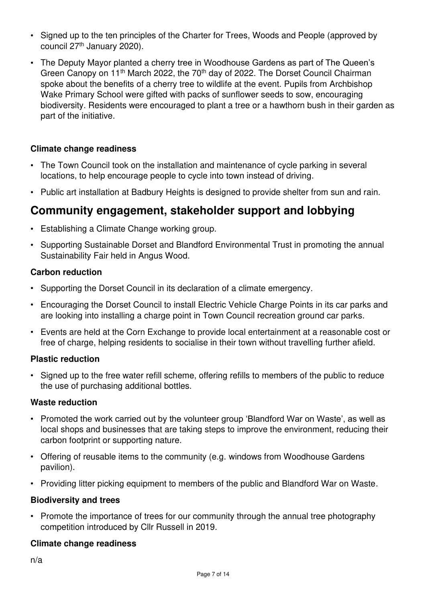- Signed up to the ten principles of the Charter for Trees, Woods and People (approved by council 27th January 2020).
- The Deputy Mayor planted a cherry tree in Woodhouse Gardens as part of The Queen's Green Canopy on 11<sup>th</sup> March 2022, the 70<sup>th</sup> day of 2022. The Dorset Council Chairman spoke about the benefits of a cherry tree to wildlife at the event. Pupils from Archbishop Wake Primary School were gifted with packs of sunflower seeds to sow, encouraging biodiversity. Residents were encouraged to plant a tree or a hawthorn bush in their garden as part of the initiative.

# **Climate change readiness**

- The Town Council took on the installation and maintenance of cycle parking in several locations, to help encourage people to cycle into town instead of driving.
- Public art installation at Badbury Heights is designed to provide shelter from sun and rain.

# **Community engagement, stakeholder support and lobbying**

- Establishing a Climate Change working group.
- Supporting Sustainable Dorset and Blandford Environmental Trust in promoting the annual Sustainability Fair held in Angus Wood.

## **Carbon reduction**

- Supporting the Dorset Council in its declaration of a climate emergency.
- Encouraging the Dorset Council to install Electric Vehicle Charge Points in its car parks and are looking into installing a charge point in Town Council recreation ground car parks.
- Events are held at the Corn Exchange to provide local entertainment at a reasonable cost or free of charge, helping residents to socialise in their town without travelling further afield.

## **Plastic reduction**

• Signed up to the free water refill scheme, offering refills to members of the public to reduce the use of purchasing additional bottles.

## **Waste reduction**

- Promoted the work carried out by the volunteer group 'Blandford War on Waste', as well as local shops and businesses that are taking steps to improve the environment, reducing their carbon footprint or supporting nature.
- Offering of reusable items to the community (e.g. windows from Woodhouse Gardens pavilion).
- Providing litter picking equipment to members of the public and Blandford War on Waste.

## **Biodiversity and trees**

• Promote the importance of trees for our community through the annual tree photography competition introduced by Cllr Russell in 2019.

## **Climate change readiness**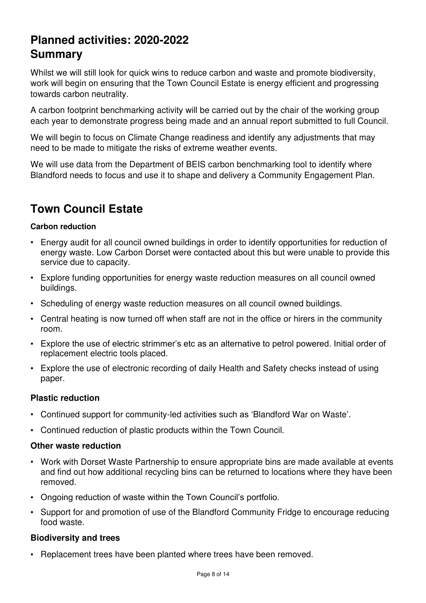# <span id="page-7-0"></span>**Planned activities: 2020-2022 Summary**

Whilst we will still look for quick wins to reduce carbon and waste and promote biodiversity, work will begin on ensuring that the Town Council Estate is energy efficient and progressing towards carbon neutrality.

A carbon footprint benchmarking activity will be carried out by the chair of the working group each year to demonstrate progress being made and an annual report submitted to full Council.

We will begin to focus on Climate Change readiness and identify any adjustments that may need to be made to mitigate the risks of extreme weather events.

We will use data from the Department of BEIS carbon benchmarking tool to identify where Blandford needs to focus and use it to shape and delivery a Community Engagement Plan.

# **Town Council Estate**

## **Carbon reduction**

- Energy audit for all council owned buildings in order to identify opportunities for reduction of energy waste. Low Carbon Dorset were contacted about this but were unable to provide this service due to capacity.
- Explore funding opportunities for energy waste reduction measures on all council owned buildings.
- Scheduling of energy waste reduction measures on all council owned buildings.
- Central heating is now turned off when staff are not in the office or hirers in the community room.
- Explore the use of electric strimmer's etc as an alternative to petrol powered. Initial order of replacement electric tools placed.
- Explore the use of electronic recording of daily Health and Safety checks instead of using paper.

## **Plastic reduction**

- Continued support for community-led activities such as 'Blandford War on Waste'.
- Continued reduction of plastic products within the Town Council.

## **Other waste reduction**

- Work with Dorset Waste Partnership to ensure appropriate bins are made available at events and find out how additional recycling bins can be returned to locations where they have been removed.
- Ongoing reduction of waste within the Town Council's portfolio.
- Support for and promotion of use of the Blandford Community Fridge to encourage reducing food waste.

## **Biodiversity and trees**

• Replacement trees have been planted where trees have been removed.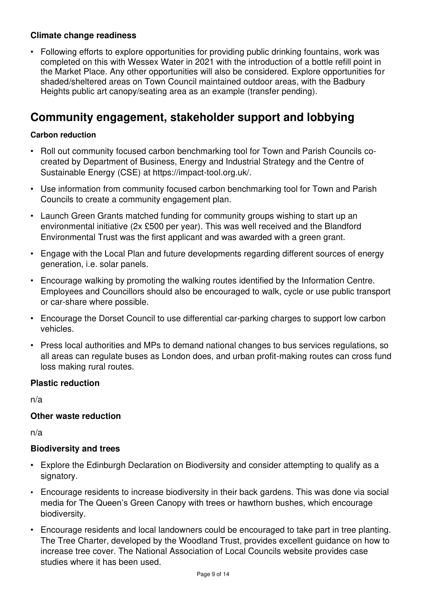# **Climate change readiness**

• Following efforts to explore opportunities for providing public drinking fountains, work was completed on this with Wessex Water in 2021 with the introduction of a bottle refill point in the Market Place. Any other opportunities will also be considered. Explore opportunities for shaded/sheltered areas on Town Council maintained outdoor areas, with the Badbury Heights public art canopy/seating area as an example (transfer pending).

# **Community engagement, stakeholder support and lobbying**

# **Carbon reduction**

- Roll out community focused carbon benchmarking tool for Town and Parish Councils cocreated by Department of Business, Energy and Industrial Strategy and the Centre of Sustainable Energy (CSE) at https://impact-tool.org.uk/.
- Use information from community focused carbon benchmarking tool for Town and Parish Councils to create a community engagement plan.
- Launch Green Grants matched funding for community groups wishing to start up an environmental initiative (2x £500 per year). This was well received and the Blandford Environmental Trust was the first applicant and was awarded with a green grant.
- Engage with the Local Plan and future developments regarding different sources of energy generation, i.e. solar panels.
- Encourage walking by promoting the walking routes identified by the Information Centre. Employees and Councillors should also be encouraged to walk, cycle or use public transport or car-share where possible.
- Encourage the Dorset Council to use differential car-parking charges to support low carbon vehicles.
- Press local authorities and MPs to demand national changes to bus services regulations, so all areas can regulate buses as London does, and urban profit-making routes can cross fund loss making rural routes.

# **Plastic reduction**

n/a

# **Other waste reduction**

n/a

# **Biodiversity and trees**

- Explore the Edinburgh Declaration on Biodiversity and consider attempting to qualify as a signatory.
- Encourage residents to increase biodiversity in their back gardens. This was done via social media for The Queen's Green Canopy with trees or hawthorn bushes, which encourage biodiversity.
- Encourage residents and local landowners could be encouraged to take part in tree planting. The Tree Charter, developed by the Woodland Trust, provides excellent guidance on how to increase tree cover. The National Association of Local Councils website provides case studies where it has been used.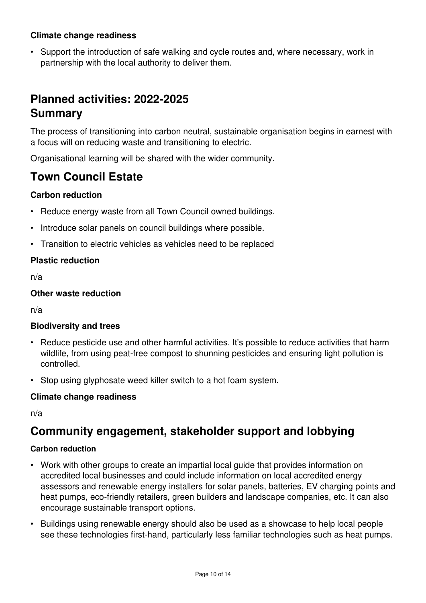# **Climate change readiness**

• Support the introduction of safe walking and cycle routes and, where necessary, work in partnership with the local authority to deliver them.

# <span id="page-9-0"></span>**Planned activities: 2022-2025 Summary**

The process of transitioning into carbon neutral, sustainable organisation begins in earnest with a focus will on reducing waste and transitioning to electric.

Organisational learning will be shared with the wider community.

# **Town Council Estate**

## **Carbon reduction**

- Reduce energy waste from all Town Council owned buildings.
- Introduce solar panels on council buildings where possible.
- Transition to electric vehicles as vehicles need to be replaced

## **Plastic reduction**

n/a

## **Other waste reduction**

n/a

## **Biodiversity and trees**

- Reduce pesticide use and other harmful activities. It's possible to reduce activities that harm wildlife, from using peat-free compost to shunning pesticides and ensuring light pollution is controlled.
- Stop using glyphosate weed killer switch to a hot foam system.

## **Climate change readiness**

n/a

# **Community engagement, stakeholder support and lobbying**

## **Carbon reduction**

- Work with other groups to create an impartial local guide that provides information on accredited local businesses and could include information on local accredited energy assessors and renewable energy installers for solar panels, batteries, EV charging points and heat pumps, eco-friendly retailers, green builders and landscape companies, etc. It can also encourage sustainable transport options.
- Buildings using renewable energy should also be used as a showcase to help local people see these technologies first-hand, particularly less familiar technologies such as heat pumps.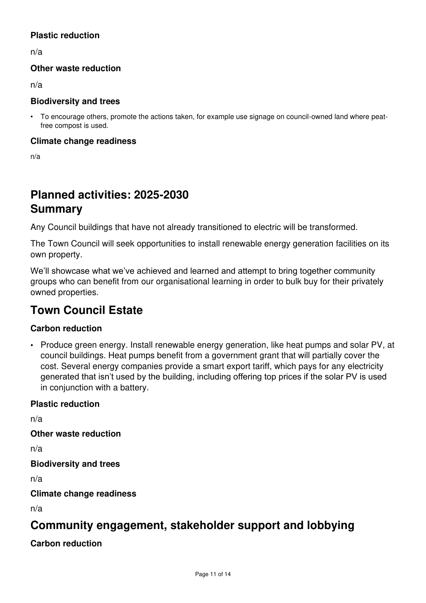# **Plastic reduction**

n/a

# **Other waste reduction**

n/a

## **Biodiversity and trees**

• To encourage others, promote the actions taken, for example use signage on council-owned land where peatfree compost is used.

#### **Climate change readiness**

n/a

# <span id="page-10-0"></span>**Planned activities: 2025-2030 Summary**

Any Council buildings that have not already transitioned to electric will be transformed.

The Town Council will seek opportunities to install renewable energy generation facilities on its own property.

We'll showcase what we've achieved and learned and attempt to bring together community groups who can benefit from our organisational learning in order to bulk buy for their privately owned properties.

# **Town Council Estate**

# **Carbon reduction**

• Produce green energy. Install renewable energy generation, like heat pumps and solar PV, at council buildings. Heat pumps benefit from a government grant that will partially cover the cost. Several energy companies provide a smart export tariff, which pays for any electricity generated that isn't used by the building, including offering top prices if the solar PV is used in conjunction with a battery.

## **Plastic reduction**

n/a

**Other waste reduction** 

n/a

**Biodiversity and trees** 

n/a

**Climate change readiness** 

n/a

# **Community engagement, stakeholder support and lobbying**

**Carbon reduction**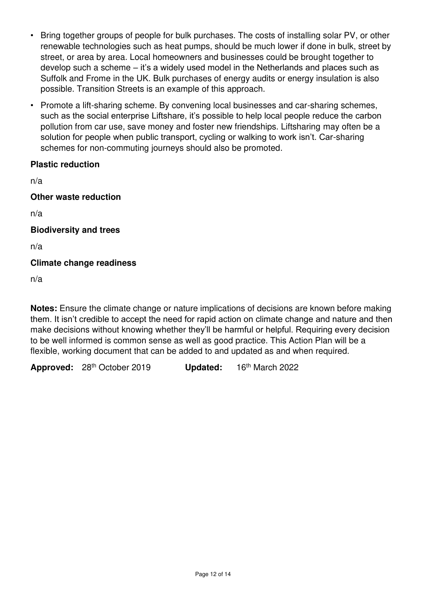- Bring together groups of people for bulk purchases. The costs of installing solar PV, or other renewable technologies such as heat pumps, should be much lower if done in bulk, street by street, or area by area. Local homeowners and businesses could be brought together to develop such a scheme – it's a widely used model in the Netherlands and places such as Suffolk and Frome in the UK. Bulk purchases of energy audits or energy insulation is also possible. Transition Streets is an example of this approach.
- Promote a lift-sharing scheme. By convening local businesses and car-sharing schemes, such as the social enterprise Liftshare, it's possible to help local people reduce the carbon pollution from car use, save money and foster new friendships. Liftsharing may often be a solution for people when public transport, cycling or walking to work isn't. Car-sharing schemes for non-commuting journeys should also be promoted.

# **Plastic reduction**

n/a

**Other waste reduction** 

n/a

## **Biodiversity and trees**

n/a

# **Climate change readiness**

n/a

**Notes:** Ensure the climate change or nature implications of decisions are known before making them. It isn't credible to accept the need for rapid action on climate change and nature and then make decisions without knowing whether they'll be harmful or helpful. Requiring every decision to be well informed is common sense as well as good practice. This Action Plan will be a flexible, working document that can be added to and updated as and when required.

**Approved:** 28th October 2019 **Updated:** 16th March 2022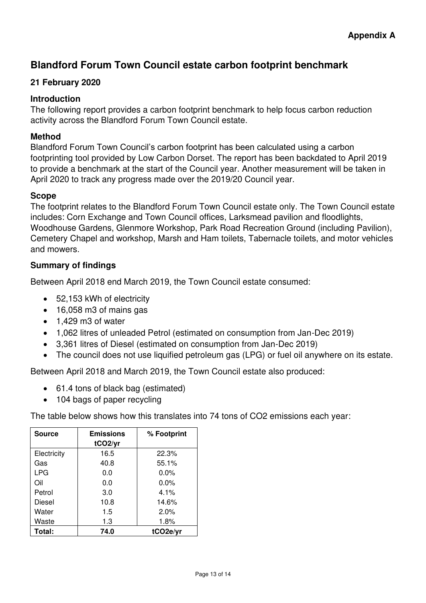# <span id="page-12-0"></span>**Blandford Forum Town Council estate carbon footprint benchmark**

# **21 February 2020**

# **Introduction**

The following report provides a carbon footprint benchmark to help focus carbon reduction activity across the Blandford Forum Town Council estate.

# **Method**

Blandford Forum Town Council's carbon footprint has been calculated using a carbon footprinting tool provided by Low Carbon Dorset. The report has been backdated to April 2019 to provide a benchmark at the start of the Council year. Another measurement will be taken in April 2020 to track any progress made over the 2019/20 Council year.

## **Scope**

The footprint relates to the Blandford Forum Town Council estate only. The Town Council estate includes: Corn Exchange and Town Council offices, Larksmead pavilion and floodlights, Woodhouse Gardens, Glenmore Workshop, Park Road Recreation Ground (including Pavilion), Cemetery Chapel and workshop, Marsh and Ham toilets, Tabernacle toilets, and motor vehicles and mowers.

# **Summary of findings**

Between April 2018 end March 2019, the Town Council estate consumed:

- 52,153 kWh of electricity
- 16,058 m3 of mains gas
- 1,429 m3 of water
- 1,062 litres of unleaded Petrol (estimated on consumption from Jan-Dec 2019)
- 3,361 litres of Diesel (estimated on consumption from Jan-Dec 2019)
- The council does not use liquified petroleum gas (LPG) or fuel oil anywhere on its estate.

Between April 2018 and March 2019, the Town Council estate also produced:

- 61.4 tons of black bag (estimated)
- 104 bags of paper recycling

The table below shows how this translates into 74 tons of CO2 emissions each year:

| <b>Source</b> | <b>Emissions</b><br>tCO <sub>2/yr</sub> | % Footprint |
|---------------|-----------------------------------------|-------------|
| Electricity   | 16.5                                    | 22.3%       |
| Gas           | 40.8                                    | 55.1%       |
| <b>LPG</b>    | 0.0                                     | $0.0\%$     |
| Oil           | 0.0                                     | 0.0%        |
| Petrol        | 3.0                                     | 4.1%        |
| Diesel        | 10.8                                    | 14.6%       |
| Water         | 1.5                                     | 2.0%        |
| Waste         | 1.3                                     | 1.8%        |
| Total:        | 74.0                                    | tCO2e/vr    |